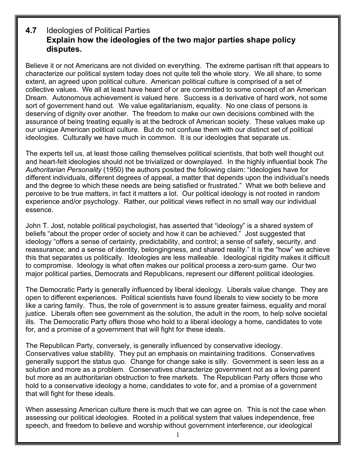## **4.7** Ideologies of Political Parties **Explain how the ideologies of the two major parties shape policy disputes.**

Believe it or not Americans are not divided on everything. The extreme partisan rift that appears to characterize our political system today does not quite tell the whole story. We all share, to some extent, an agreed upon political culture. American political culture is comprised of a set of collective values. We all at least have heard of or are committed to some concept of an American Dream. Autonomous achievement is valued here. Success is a derivative of hard work, not some sort of government hand out. We value egalitarianism, equality. No one class of persons is deserving of dignity over another. The freedom to make our own decisions combined with the assurance of being treating equally is at the bedrock of American society. These values make up our unique American political culture. But do not confuse them with our distinct set of political ideologies. Culturally we have much in common. It is our ideologies that separate us.

The experts tell us, at least those calling themselves political scientists, that both well thought out and heart-felt ideologies should not be trivialized or downplayed. In the highly influential book *The Authoritarian Personality* (1950) the authors posited the following claim: "Ideologies have for different individuals, different degrees of appeal, a matter that depends upon the individual's needs and the degree to which these needs are being satisfied or frustrated." What we both believe and perceive to be true matters, in fact it matters a lot. Our political ideology is not rooted in random experience and/or psychology. Rather, our political views reflect in no small way our individual essence.

John T. Jost, notable political psychologist, has asserted that "ideology" is a shared system of beliefs "about the proper order of society and how it can be achieved." Jost suggested that ideology "offers a sense of certainty, predictability, and control; a sense of safety, security, and reassurance; and a sense of identity, belongingness, and shared reality." It is the "how" we achieve this that separates us politically. Ideologies are less malleable. Ideological rigidity makes it difficult to compromise. Ideology is what often makes our political process a zero-sum game. Our two major political parties, Democrats and Republicans, represent our different political ideologies.

The Democratic Party is generally influenced by liberal ideology. Liberals value change. They are open to different experiences. Political scientists have found liberals to view society to be more like a caring family. Thus, the role of government is to assure greater fairness, equality and moral justice. Liberals often see government as the solution, the adult in the room, to help solve societal ills. The Democratic Party offers those who hold to a liberal ideology a home, candidates to vote for, and a promise of a government that will fight for these ideals.

The Republican Party, conversely, is generally influenced by conservative ideology. Conservatives value stability. They put an emphasis on maintaining traditions. Conservatives generally support the status quo. Change for change sake is silly. Government is seen less as a solution and more as a problem. Conservatives characterize government not as a loving parent but more as an authoritarian obstruction to free markets. The Republican Party offers those who hold to a conservative ideology a home, candidates to vote for, and a promise of a government that will fight for these ideals.

When assessing American culture there is much that we can agree on. This is not the case when assessing our political ideologies. Rooted in a political system that values independence, free speech, and freedom to believe and worship without government interference, our ideological